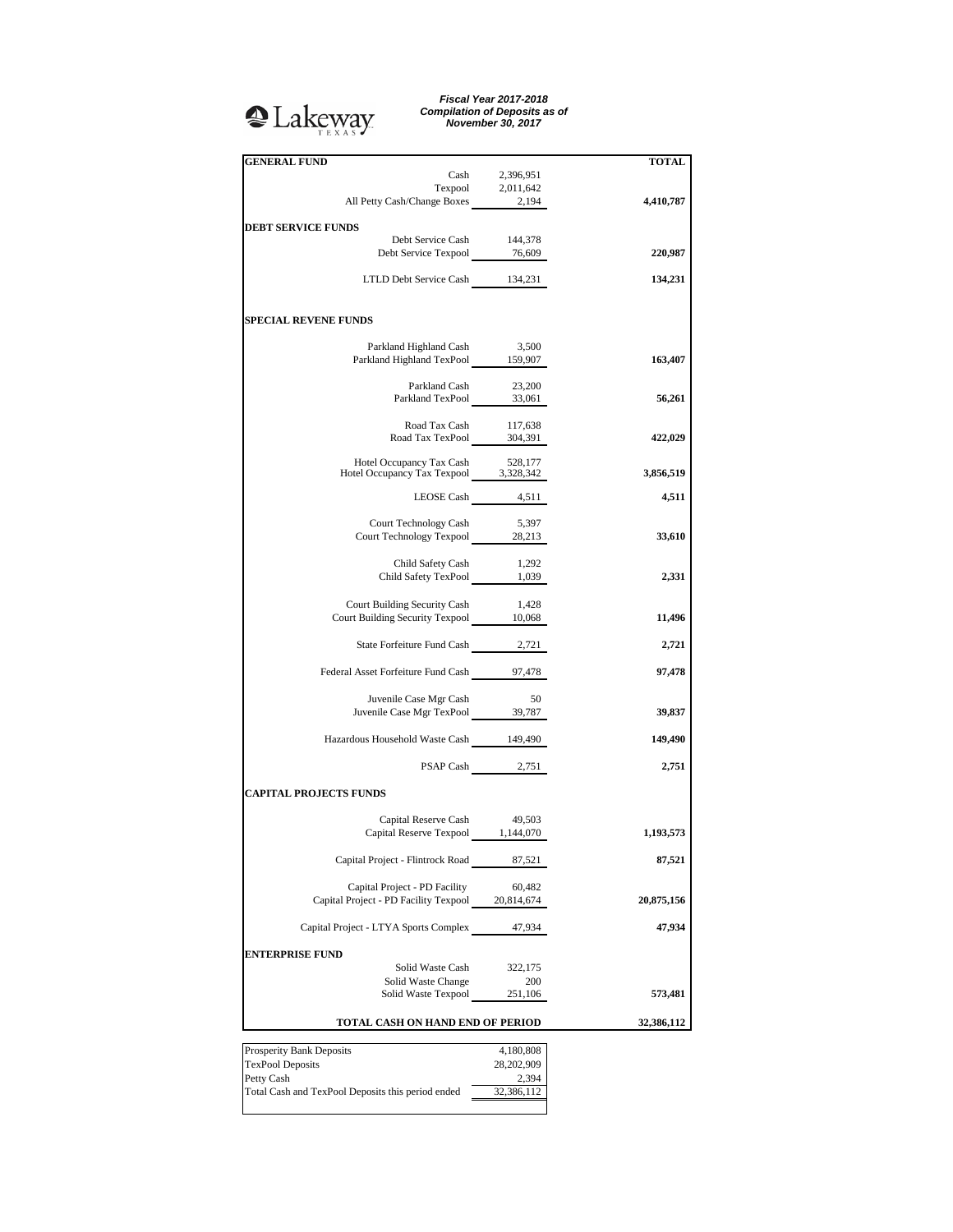## <sup>2</sup>Lakeway

*Fiscal Year 2017-2018 Compilation of Deposits as of November 30, 2017*

| <b>GENERAL FUND</b>                                                                                                                |                      | TOTAL      |
|------------------------------------------------------------------------------------------------------------------------------------|----------------------|------------|
|                                                                                                                                    | Cash 2,396,951       |            |
|                                                                                                                                    |                      |            |
| $\begin{tabular}{c} \textbf{Tempool} & \textbf{2,011,642}\\ \textbf{All Petty Cash/Change Boxes} & \textbf{2,194}\\ \end{tabular}$ |                      | 4,410,787  |
|                                                                                                                                    |                      |            |
| <b>DEBT SERVICE FUNDS</b><br>Debt Service Cash                                                                                     | 144,378              |            |
| Debt Service Texpool 16,609                                                                                                        |                      | 220,987    |
|                                                                                                                                    |                      |            |
| LTLD Debt Service Cash 134,231                                                                                                     |                      | 134,231    |
|                                                                                                                                    |                      |            |
| <b>SPECIAL REVENE FUNDS</b>                                                                                                        |                      |            |
| Parkland Highland Cash                                                                                                             | 3,500                |            |
| Parkland Highland TexPool 159,907                                                                                                  |                      | 163,407    |
|                                                                                                                                    |                      |            |
| Parkland Cash 23,200<br>Parkland TexPool 33,061                                                                                    |                      |            |
|                                                                                                                                    |                      | 56,261     |
|                                                                                                                                    |                      |            |
| Road Tax Cash 117,638<br>Road Tax TexPool 304,391                                                                                  |                      | 422,029    |
|                                                                                                                                    |                      |            |
| Hotel Occupancy Tax Cash 528,177<br>Hotel Occupancy Tax Texpool 3,328,342                                                          |                      | 3,856,519  |
|                                                                                                                                    |                      |            |
|                                                                                                                                    | LEOSE Cash 4,511     | 4,511      |
|                                                                                                                                    |                      |            |
| Court Technology Cash<br>Court Technology Texpool 28,213                                                                           | 5,397                | 33,610     |
|                                                                                                                                    |                      |            |
|                                                                                                                                    |                      |            |
| Child Safety Cash 1,292<br>Child Safety TexPool 1,039                                                                              |                      | 2,331      |
|                                                                                                                                    |                      |            |
| Court Building Security Cash<br>Court Building Security Texpool 10,068                                                             | 1,428                |            |
|                                                                                                                                    |                      | 11,496     |
| State Forfeiture Fund Cash 2,721                                                                                                   |                      | 2,721      |
|                                                                                                                                    |                      |            |
| Federal Asset Forfeiture Fund Cash 97,478                                                                                          |                      | 97,478     |
|                                                                                                                                    |                      |            |
| Juvenile Case Mgr Cash<br>Juvenile Case Mgr TexPool 39,787                                                                         | 50                   | 39,837     |
|                                                                                                                                    |                      |            |
| Hazardous Household Waste Cash 149,490                                                                                             |                      | 149,490    |
|                                                                                                                                    |                      |            |
|                                                                                                                                    | PSAP Cash 2,751      | 2,751      |
| <b>CAPITAL PROJECTS FUNDS</b>                                                                                                      |                      |            |
|                                                                                                                                    |                      |            |
| Capital Reserve Cash                                                                                                               | 49,503               |            |
| Capital Reserve Texpool 1,144,070                                                                                                  |                      | 1,193,573  |
| Capital Project - Flintrock Road                                                                                                   | 87,521               | 87,521     |
| Capital Project - PD Facility                                                                                                      |                      |            |
| Capital Project - PD Facility Texpool                                                                                              | 60,482<br>20,814,674 | 20,875,156 |
|                                                                                                                                    |                      |            |
| Capital Project - LTYA Sports Complex                                                                                              | 47,934               | 47,934     |
|                                                                                                                                    |                      |            |
| <b>ENTERPRISE FUND</b>                                                                                                             |                      |            |
| Solid Waste Cash<br>Solid Waste Change                                                                                             | 322,175<br>200       |            |
| Solid Waste Texpool                                                                                                                | 251,106              | 573,481    |
|                                                                                                                                    |                      |            |
| TOTAL CASH ON HAND END OF PERIOD                                                                                                   |                      | 32,386,112 |
|                                                                                                                                    |                      |            |
| Prosperity Bank Deposits                                                                                                           | 4,180,808            |            |
| <b>TexPool Deposits</b><br>Petty Cash                                                                                              | 28,202,909<br>2,394  |            |
| Total Cash and TexPool Deposits this period ended                                                                                  | 32,386,112           |            |